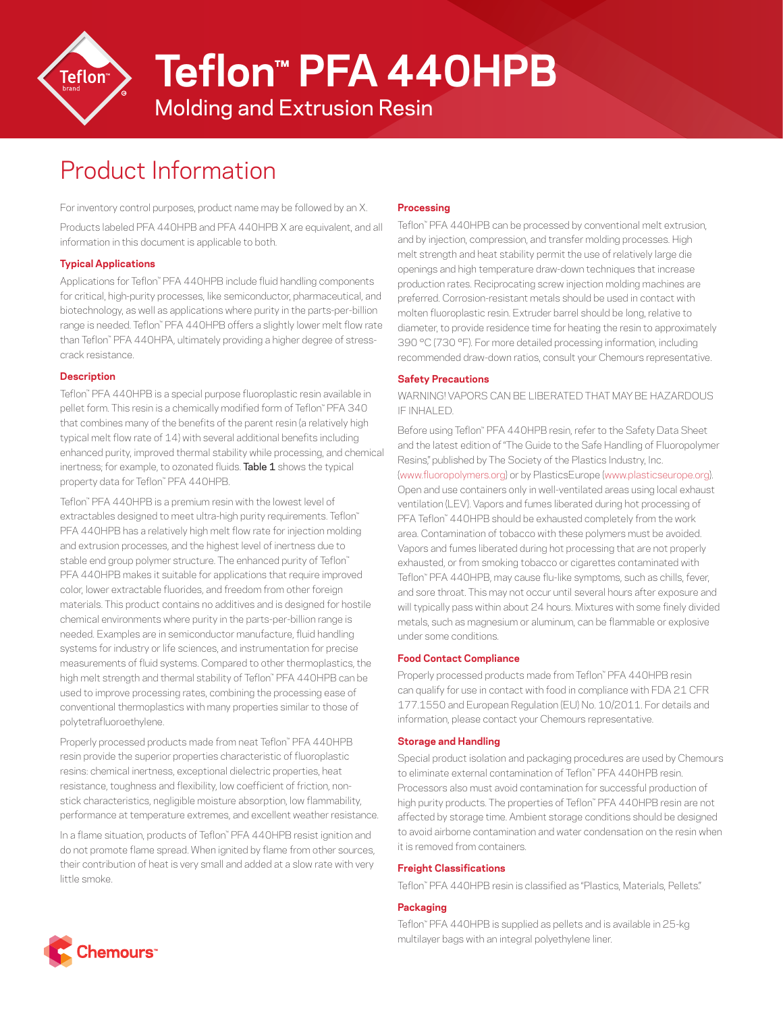

**Teflon™ PFA 440HPB**

Molding and Extrusion Resin

# Product Information

For inventory control purposes, product name may be followed by an X. Products labeled PFA 440HPB and PFA 440HPB X are equivalent, and all information in this document is applicable to both.

## **Typical Applications**

Applications for Teflon™ PFA 440HPB include fluid handling components for critical, high-purity processes, like semiconductor, pharmaceutical, and biotechnology, as well as applications where purity in the parts-per-billion range is needed. Teflon™ PFA 440HPB offers a slightly lower melt flow rate than Teflon™ PFA 440HPA, ultimately providing a higher degree of stresscrack resistance.

### **Description**

Teflon™ PFA 440HPB is a special purpose fluoroplastic resin available in pellet form. This resin is a chemically modified form of Teflon™ PFA 340 that combines many of the benefits of the parent resin (a relatively high typical melt flow rate of 14) with several additional benefits including enhanced purity, improved thermal stability while processing, and chemical inertness; for example, to ozonated fluids. Table 1 shows the typical property data for Teflon™ PFA 440HPB.

Teflon™ PFA 440HPB is a premium resin with the lowest level of extractables designed to meet ultra-high purity requirements. Teflon™ PFA 440HPB has a relatively high melt flow rate for injection molding and extrusion processes, and the highest level of inertness due to stable end group polymer structure. The enhanced purity of Teflon™ PFA 440HPB makes it suitable for applications that require improved color, lower extractable fluorides, and freedom from other foreign materials. This product contains no additives and is designed for hostile chemical environments where purity in the parts-per-billion range is needed. Examples are in semiconductor manufacture, fluid handling systems for industry or life sciences, and instrumentation for precise measurements of fluid systems. Compared to other thermoplastics, the high melt strength and thermal stability of Teflon™ PFA 440HPB can be used to improve processing rates, combining the processing ease of conventional thermoplastics with many properties similar to those of polytetrafluoroethylene.

Properly processed products made from neat Teflon™ PFA 440HPB resin provide the superior properties characteristic of fluoroplastic resins: chemical inertness, exceptional dielectric properties, heat resistance, toughness and flexibility, low coefficient of friction, nonstick characteristics, negligible moisture absorption, low flammability, performance at temperature extremes, and excellent weather resistance.

In a flame situation, products of Teflon™ PFA 440HPB resist ignition and do not promote flame spread. When ignited by flame from other sources, their contribution of heat is very small and added at a slow rate with very little smoke.

## **Processing**

Teflon™ PFA 440HPB can be processed by conventional melt extrusion, and by injection, compression, and transfer molding processes. High melt strength and heat stability permit the use of relatively large die openings and high temperature draw-down techniques that increase production rates. Reciprocating screw injection molding machines are preferred. Corrosion-resistant metals should be used in contact with molten fluoroplastic resin. Extruder barrel should be long, relative to diameter, to provide residence time for heating the resin to approximately 390 °C (730 °F). For more detailed processing information, including recommended draw-down ratios, consult your Chemours representative.

### **Safety Precautions**

WARNING! VAPORS CAN BE LIBERATED THAT MAY BE HAZARDOUS IF INHALED.

Before using Teflon™ PFA 440HPB resin, refer to the Safety Data Sheet and the latest edition of "The Guide to the Safe Handling of Fluoropolymer Resins," published by The Society of the Plastics Industry, Inc. ([www.fluoropolymers.org](http://www.fluoropolymers.org)) or by PlasticsEurope ([www.plasticseurope.org\)](http://www.plasticseurope.org). Open and use containers only in well-ventilated areas using local exhaust ventilation (LEV). Vapors and fumes liberated during hot processing of PFA Teflon™ 440HPB should be exhausted completely from the work area. Contamination of tobacco with these polymers must be avoided. Vapors and fumes liberated during hot processing that are not properly exhausted, or from smoking tobacco or cigarettes contaminated with Teflon™ PFA 440HPB, may cause flu-like symptoms, such as chills, fever, and sore throat. This may not occur until several hours after exposure and will typically pass within about 24 hours. Mixtures with some finely divided metals, such as magnesium or aluminum, can be flammable or explosive under some conditions.

### **Food Contact Compliance**

Properly processed products made from Teflon™ PFA 440HPB resin can qualify for use in contact with food in compliance with FDA 21 CFR 177.1550 and European Regulation (EU) No. 10/2011. For details and information, please contact your Chemours representative.

### **Storage and Handling**

Special product isolation and packaging procedures are used by Chemours to eliminate external contamination of Teflon™ PFA 440HPB resin. Processors also must avoid contamination for successful production of high purity products. The properties of Teflon™ PFA 440HPB resin are not affected by storage time. Ambient storage conditions should be designed to avoid airborne contamination and water condensation on the resin when it is removed from containers.

### **Freight Classifications**

Teflon™ PFA 440HPB resin is classified as "Plastics, Materials, Pellets."

### **Packaging**

Teflon™ PFA 440HPB is supplied as pellets and is available in 25-kg multilayer bags with an integral polyethylene liner.